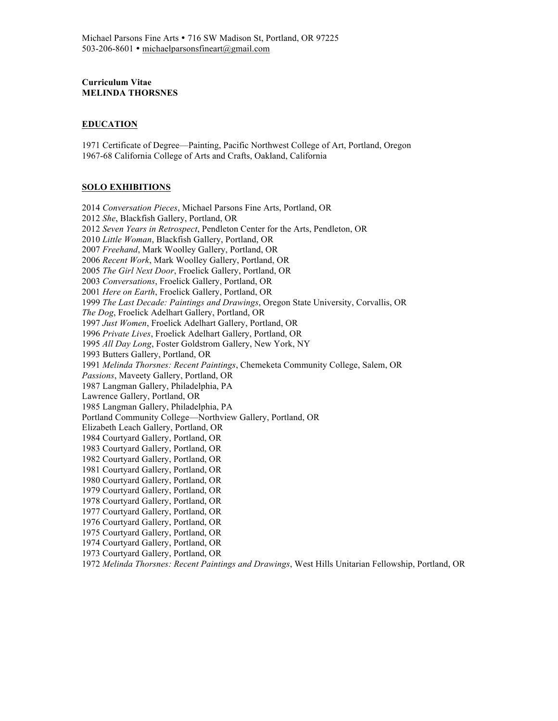## **Curriculum Vitae MELINDA THORSNES**

## **EDUCATION**

1971 Certificate of Degree—Painting, Pacific Northwest College of Art, Portland, Oregon 1967-68 California College of Arts and Crafts, Oakland, California

#### **SOLO EXHIBITIONS**

2014 *Conversation Pieces*, Michael Parsons Fine Arts, Portland, OR 2012 *She*, Blackfish Gallery, Portland, OR 2012 *Seven Years in Retrospect*, Pendleton Center for the Arts, Pendleton, OR 2010 *Little Woman*, Blackfish Gallery, Portland, OR 2007 *Freehand*, Mark Woolley Gallery, Portland, OR 2006 *Recent Work*, Mark Woolley Gallery, Portland, OR 2005 *The Girl Next Door*, Froelick Gallery, Portland, OR 2003 *Conversations*, Froelick Gallery, Portland, OR 2001 *Here on Earth*, Froelick Gallery, Portland, OR 1999 *The Last Decade: Paintings and Drawings*, Oregon State University, Corvallis, OR *The Dog*, Froelick Adelhart Gallery, Portland, OR 1997 *Just Women*, Froelick Adelhart Gallery, Portland, OR 1996 *Private Lives*, Froelick Adelhart Gallery, Portland, OR 1995 *All Day Long*, Foster Goldstrom Gallery, New York, NY 1993 Butters Gallery, Portland, OR 1991 *Melinda Thorsnes: Recent Paintings*, Chemeketa Community College, Salem, OR *Passions*, Maveety Gallery, Portland, OR 1987 Langman Gallery, Philadelphia, PA Lawrence Gallery, Portland, OR 1985 Langman Gallery, Philadelphia, PA Portland Community College—Northview Gallery, Portland, OR Elizabeth Leach Gallery, Portland, OR 1984 Courtyard Gallery, Portland, OR 1983 Courtyard Gallery, Portland, OR 1982 Courtyard Gallery, Portland, OR 1981 Courtyard Gallery, Portland, OR 1980 Courtyard Gallery, Portland, OR 1979 Courtyard Gallery, Portland, OR 1978 Courtyard Gallery, Portland, OR 1977 Courtyard Gallery, Portland, OR 1976 Courtyard Gallery, Portland, OR 1975 Courtyard Gallery, Portland, OR 1974 Courtyard Gallery, Portland, OR 1973 Courtyard Gallery, Portland, OR 1972 *Melinda Thorsnes: Recent Paintings and Drawings*, West Hills Unitarian Fellowship, Portland, OR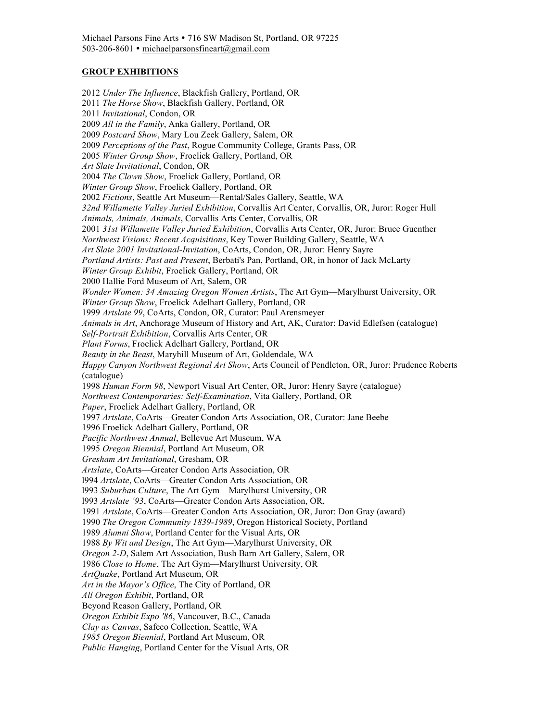## **GROUP EXHIBITIONS**

2012 *Under The Influence*, Blackfish Gallery, Portland, OR 2011 *The Horse Show*, Blackfish Gallery, Portland, OR 2011 *Invitational*, Condon, OR 2009 *All in the Family*, Anka Gallery, Portland, OR 2009 *Postcard Show*, Mary Lou Zeek Gallery, Salem, OR 2009 *Perceptions of the Past*, Rogue Community College, Grants Pass, OR 2005 *Winter Group Show*, Froelick Gallery, Portland, OR *Art Slate Invitational*, Condon, OR 2004 *The Clown Show*, Froelick Gallery, Portland, OR *Winter Group Show*, Froelick Gallery, Portland, OR 2002 *Fictions*, Seattle Art Museum—Rental/Sales Gallery, Seattle, WA *32nd Willamette Valley Juried Exhibition*, Corvallis Art Center, Corvallis, OR, Juror: Roger Hull *Animals, Animals, Animals*, Corvallis Arts Center, Corvallis, OR 2001 *31st Willamette Valley Juried Exhibition*, Corvallis Arts Center, OR, Juror: Bruce Guenther *Northwest Visions: Recent Acquisitions*, Key Tower Building Gallery, Seattle, WA *Art Slate 2001 Invitational-Invitation*, CoArts, Condon, OR, Juror: Henry Sayre *Portland Artists: Past and Present*, Berbati's Pan, Portland, OR, in honor of Jack McLarty *Winter Group Exhibit*, Froelick Gallery, Portland, OR 2000 Hallie Ford Museum of Art, Salem, OR *Wonder Women: 34 Amazing Oregon Women Artists*, The Art Gym—Marylhurst University, OR *Winter Group Show*, Froelick Adelhart Gallery, Portland, OR 1999 *Artslate 99*, CoArts, Condon, OR, Curator: Paul Arensmeyer *Animals in Art*, Anchorage Museum of History and Art, AK, Curator: David Edlefsen (catalogue) *Self-Portrait Exhibition*, Corvallis Arts Center, OR *Plant Forms*, Froelick Adelhart Gallery, Portland, OR *Beauty in the Beast*, Maryhill Museum of Art, Goldendale, WA *Happy Canyon Northwest Regional Art Show*, Arts Council of Pendleton, OR, Juror: Prudence Roberts (catalogue) 1998 *Human Form 98*, Newport Visual Art Center, OR, Juror: Henry Sayre (catalogue) *Northwest Contemporaries: Self-Examination*, Vita Gallery, Portland, OR *Paper*, Froelick Adelhart Gallery, Portland, OR 1997 *Artslate*, CoArts—Greater Condon Arts Association, OR, Curator: Jane Beebe 1996 Froelick Adelhart Gallery, Portland, OR *Pacific Northwest Annual*, Bellevue Art Museum, WA 1995 *Oregon Biennial*, Portland Art Museum, OR *Gresham Art Invitational*, Gresham, OR *Artslate*, CoArts—Greater Condon Arts Association, OR l994 *Artslate*, CoArts—Greater Condon Arts Association, OR l993 *Suburban Culture*, The Art Gym—Marylhurst University, OR l993 *Artslate '93*, CoArts—Greater Condon Arts Association, OR, 1991 *Artslate*, CoArts—Greater Condon Arts Association, OR, Juror: Don Gray (award) 1990 *The Oregon Community 1839-1989*, Oregon Historical Society, Portland 1989 *Alumni Show*, Portland Center for the Visual Arts, OR 1988 *By Wit and Design*, The Art Gym—Marylhurst University, OR *Oregon 2-D*, Salem Art Association, Bush Barn Art Gallery, Salem, OR 1986 *Close to Home*, The Art Gym—Marylhurst University, OR *ArtQuake*, Portland Art Museum, OR *Art in the Mayor's Office*, The City of Portland, OR *All Oregon Exhibit*, Portland, OR Beyond Reason Gallery, Portland, OR *Oregon Exhibit Expo '86*, Vancouver, B.C., Canada *Clay as Canvas*, Safeco Collection, Seattle, WA *1985 Oregon Biennial*, Portland Art Museum, OR *Public Hanging*, Portland Center for the Visual Arts, OR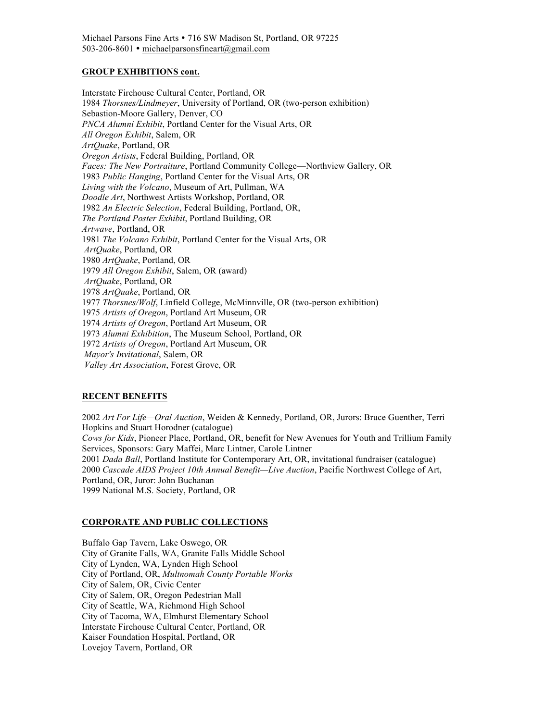## **GROUP EXHIBITIONS cont.**

Interstate Firehouse Cultural Center, Portland, OR 1984 *Thorsnes/Lindmeyer*, University of Portland, OR (two-person exhibition) Sebastion-Moore Gallery, Denver, CO *PNCA Alumni Exhibit*, Portland Center for the Visual Arts, OR *All Oregon Exhibit*, Salem, OR *ArtQuake*, Portland, OR *Oregon Artists*, Federal Building, Portland, OR *Faces: The New Portraiture*, Portland Community College—Northview Gallery, OR 1983 *Public Hanging*, Portland Center for the Visual Arts, OR *Living with the Volcano*, Museum of Art, Pullman, WA *Doodle Art*, Northwest Artists Workshop, Portland, OR 1982 *An Electric Selection*, Federal Building, Portland, OR, *The Portland Poster Exhibit*, Portland Building, OR *Artwave*, Portland, OR 1981 *The Volcano Exhibit*, Portland Center for the Visual Arts, OR *ArtQuake*, Portland, OR 1980 *ArtQuake*, Portland, OR 1979 *All Oregon Exhibit*, Salem, OR (award) *ArtQuake*, Portland, OR 1978 *ArtQuake*, Portland, OR 1977 *Thorsnes/Wolf*, Linfield College, McMinnville, OR (two-person exhibition) 1975 *Artists of Oregon*, Portland Art Museum, OR 1974 *Artists of Oregon*, Portland Art Museum, OR 1973 *Alumni Exhibition*, The Museum School, Portland, OR 1972 *Artists of Oregon*, Portland Art Museum, OR *Mayor's Invitational*, Salem, OR *Valley Art Association*, Forest Grove, OR

# **RECENT BENEFITS**

2002 *Art For Life—Oral Auction*, Weiden & Kennedy, Portland, OR, Jurors: Bruce Guenther, Terri Hopkins and Stuart Horodner (catalogue) *Cows for Kids*, Pioneer Place, Portland, OR, benefit for New Avenues for Youth and Trillium Family Services, Sponsors: Gary Maffei, Marc Lintner, Carole Lintner 2001 *Dada Ball*, Portland Institute for Contemporary Art, OR, invitational fundraiser (catalogue) 2000 *Cascade AIDS Project 10th Annual Benefit—Live Auction*, Pacific Northwest College of Art, Portland, OR, Juror: John Buchanan 1999 National M.S. Society, Portland, OR

# **CORPORATE AND PUBLIC COLLECTIONS**

Buffalo Gap Tavern, Lake Oswego, OR City of Granite Falls, WA, Granite Falls Middle School City of Lynden, WA, Lynden High School City of Portland, OR, *Multnomah County Portable Works* City of Salem, OR, Civic Center City of Salem, OR, Oregon Pedestrian Mall City of Seattle, WA, Richmond High School City of Tacoma, WA, Elmhurst Elementary School Interstate Firehouse Cultural Center, Portland, OR Kaiser Foundation Hospital, Portland, OR Lovejoy Tavern, Portland, OR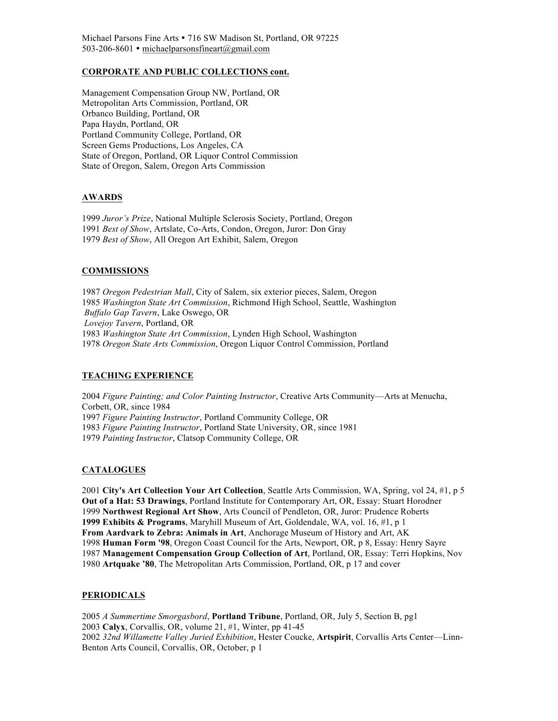Michael Parsons Fine Arts • 716 SW Madison St, Portland, OR 97225 503-206-8601 michaelparsonsfineart@gmail.com

## **CORPORATE AND PUBLIC COLLECTIONS cont.**

Management Compensation Group NW, Portland, OR Metropolitan Arts Commission, Portland, OR Orbanco Building, Portland, OR Papa Haydn, Portland, OR Portland Community College, Portland, OR Screen Gems Productions, Los Angeles, CA State of Oregon, Portland, OR Liquor Control Commission State of Oregon, Salem, Oregon Arts Commission

# **AWARDS**

1999 *Juror's Prize*, National Multiple Sclerosis Society, Portland, Oregon 1991 *Best of Show*, Artslate, Co-Arts, Condon, Oregon, Juror: Don Gray 1979 *Best of Show*, All Oregon Art Exhibit, Salem, Oregon

## **COMMISSIONS**

*Oregon Pedestrian Mall*, City of Salem, six exterior pieces, Salem, Oregon *Washington State Art Commission*, Richmond High School, Seattle, Washington *Buffalo Gap Tavern*, Lake Oswego, OR *Lovejoy Tavern*, Portland, OR *Washington State Art Commission*, Lynden High School, Washington *Oregon State Arts Commission*, Oregon Liquor Control Commission, Portland

#### **TEACHING EXPERIENCE**

*Figure Painting; and Color Painting Instructor*, Creative Arts Community—Arts at Menucha, Corbett, OR, since 1984 *Figure Painting Instructor*, Portland Community College, OR *Figure Painting Instructor*, Portland State University, OR, since 1981 *Painting Instructor*, Clatsop Community College, OR

#### **CATALOGUES**

**City's Art Collection Your Art Collection**, Seattle Arts Commission, WA, Spring, vol 24, #1, p 5 **Out of a Hat: 53 Drawings**, Portland Institute for Contemporary Art, OR, Essay: Stuart Horodner **Northwest Regional Art Show**, Arts Council of Pendleton, OR, Juror: Prudence Roberts **1999 Exhibits & Programs**, Maryhill Museum of Art, Goldendale, WA, vol. 16, #1, p 1 **From Aardvark to Zebra: Animals in Art**, Anchorage Museum of History and Art, AK **Human Form '98**, Oregon Coast Council for the Arts, Newport, OR, p 8, Essay: Henry Sayre **Management Compensation Group Collection of Art**, Portland, OR, Essay: Terri Hopkins, Nov **Artquake '80**, The Metropolitan Arts Commission, Portland, OR, p 17 and cover

#### **PERIODICALS**

*A Summertime Smorgasbord*, **Portland Tribune**, Portland, OR, July 5, Section B, pg1 **Calyx**, Corvallis, OR, volume 21, #1, Winter, pp 41-45 *32nd Willamette Valley Juried Exhibition*, Hester Coucke, **Artspirit**, Corvallis Arts Center—Linn-Benton Arts Council, Corvallis, OR, October, p 1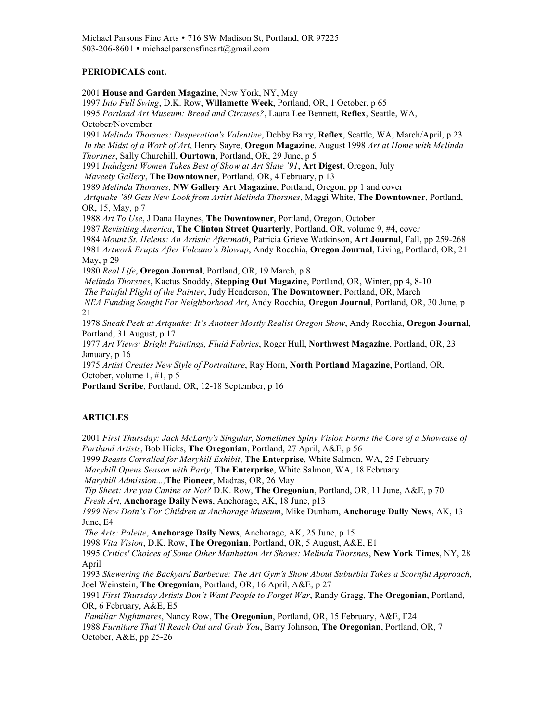# **PERIODICALS cont.**

2001 **House and Garden Magazine**, New York, NY, May

1997 *Into Full Swing*, D.K. Row, **Willamette Week**, Portland, OR, 1 October, p 65 1995 *Portland Art Museum: Bread and Circuses?*, Laura Lee Bennett, **Reflex**, Seattle, WA, October/November

1991 *Melinda Thorsnes: Desperation's Valentine*, Debby Barry, **Reflex**, Seattle, WA, March/April, p 23 *In the Midst of a Work of Art*, Henry Sayre, **Oregon Magazine**, August 1998 *Art at Home with Melinda Thorsnes*, Sally Churchill, **Ourtown**, Portland, OR, 29 June, p 5

1991 *Indulgent Women Takes Best of Show at Art Slate '91*, **Art Digest**, Oregon, July

*Maveety Gallery*, **The Downtowner**, Portland, OR, 4 February, p 13

1989 *Melinda Thorsnes*, **NW Gallery Art Magazine**, Portland, Oregon, pp 1 and cover

*Artquake '89 Gets New Look from Artist Melinda Thorsnes*, Maggi White, **The Downtowner**, Portland, OR, 15, May, p 7

1988 *Art To Use*, J Dana Haynes, **The Downtowner**, Portland, Oregon, October

1987 *Revisiting America*, **The Clinton Street Quarterly**, Portland, OR, volume 9, #4, cover

1984 *Mount St. Helens: An Artistic Aftermath*, Patricia Grieve Watkinson, **Art Journal**, Fall, pp 259-268

1981 *Artwork Erupts After Volcano's Blowup*, Andy Rocchia, **Oregon Journal**, Living, Portland, OR, 21 May, p 29

1980 *Real Life*, **Oregon Journal**, Portland, OR, 19 March, p 8

*Melinda Thorsnes*, Kactus Snoddy, **Stepping Out Magazine**, Portland, OR, Winter, pp 4, 8-10

*The Painful Plight of the Painter*, Judy Henderson, **The Downtowner**, Portland, OR, March

*NEA Funding Sought For Neighborhood Art*, Andy Rocchia, **Oregon Journal**, Portland, OR, 30 June, p 21

1978 *Sneak Peek at Artquake: It's Another Mostly Realist Oregon Show*, Andy Rocchia, **Oregon Journal**, Portland, 31 August, p 17

1977 *Art Views: Bright Paintings, Fluid Fabrics*, Roger Hull, **Northwest Magazine**, Portland, OR, 23 January, p 16

1975 *Artist Creates New Style of Portraiture*, Ray Horn, **North Portland Magazine**, Portland, OR, October, volume 1, #1, p 5

**Portland Scribe**, Portland, OR, 12-18 September, p 16

# **ARTICLES**

2001 *First Thursday: Jack McLarty's Singular, Sometimes Spiny Vision Forms the Core of a Showcase of Portland Artists*, Bob Hicks, **The Oregonian**, Portland, 27 April, A&E, p 56 1999 *Beasts Corralled for Maryhill Exhibit*, **The Enterprise**, White Salmon, WA, 25 February *Maryhill Opens Season with Party*, **The Enterprise**, White Salmon, WA, 18 February *Maryhill Admission...,***The Pioneer**, Madras, OR, 26 May *Tip Sheet: Are you Canine or Not?* D.K. Row, **The Oregonian**, Portland, OR, 11 June, A&E, p 70 *Fresh Art*, **Anchorage Daily News**, Anchorage, AK, 18 June, p13 *1999 New Doin's For Children at Anchorage Museum*, Mike Dunham, **Anchorage Daily News**, AK, 13 June, E4 *The Arts: Palette*, **Anchorage Daily News**, Anchorage, AK, 25 June, p 15 1998 *Vita Vision*, D.K. Row, **The Oregonian**, Portland, OR, 5 August, A&E, E1 1995 *Critics' Choices of Some Other Manhattan Art Shows: Melinda Thorsnes*, **New York Times**, NY, 28

April 1993 *Skewering the Backyard Barbecue: The Art Gym's Show About Suburbia Takes a Scornful Approach*, Joel Weinstein, **The Oregonian**, Portland, OR, 16 April, A&E, p 27 1991 *First Thursday Artists Don't Want People to Forget War*, Randy Gragg, **The Oregonian**, Portland,

OR, 6 February, A&E, E5

*Familiar Nightmares*, Nancy Row, **The Oregonian**, Portland, OR, 15 February, A&E, F24 1988 *Furniture That'll Reach Out and Grab You*, Barry Johnson, **The Oregonian**, Portland, OR, 7 October, A&E, pp 25-26